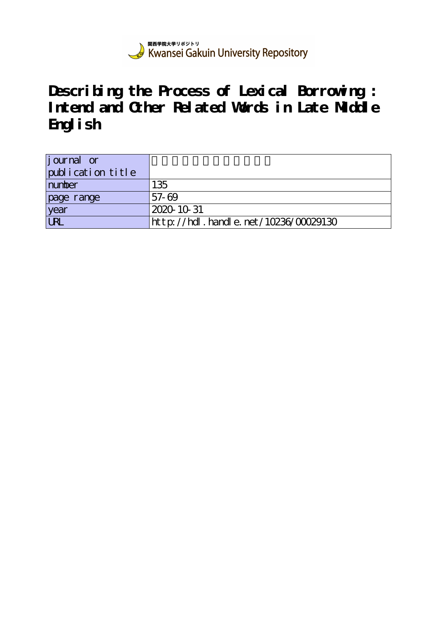

**Describing the Process of Lexical Borrowing : Intend and Other Related Words in Late Middle English**

| <i>j</i> ournal or<br>publication title |                                           |
|-----------------------------------------|-------------------------------------------|
| number                                  | 135                                       |
| page range                              | 57-69                                     |
| year                                    | 2020-10-31                                |
| <b>URL</b>                              | $http$ ://hdl. handle. net/10236/00029130 |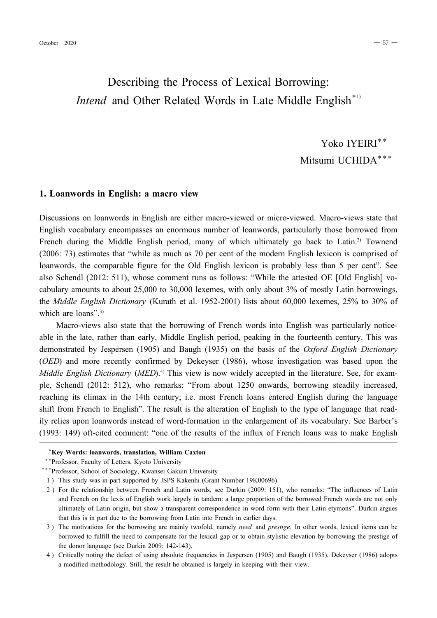# Describing the Process of Lexical Borrowing: *Intend* and Other Related Words in Late Middle English<sup>\*1)</sup>

Yoko IYEIRI\*\* Mitsumi UCHIDA\*\*\*

### **1. Loanwords in English: a macro view**

Discussions on loanwords in English are either macro-viewed or micro-viewed. Macro-views state that English vocabulary encompasses an enormous number of loanwords, particularly those borrowed from French during the Middle English period, many of which ultimately go back to Latin.<sup>2)</sup> Townend (2006: 73) estimates that "while as much as 70 per cent of the modern English lexicon is comprised of loanwords, the comparable figure for the Old English lexicon is probably less than 5 per cent". See also Schendl (2012: 511), whose comment runs as follows: "While the attested OE [Old English] vocabulary amounts to about 25,000 to 30,000 lexemes, with only about 3% of mostly Latin borrowings, the *Middle English Dictionary* (Kurath et al. 1952-2001) lists about 60,000 lexemes, 25% to 30% of which are loans".<sup>3)</sup>

Macro-views also state that the borrowing of French words into English was particularly noticeable in the late, rather than early, Middle English period, peaking in the fourteenth century. This was demonstrated by Jespersen (1905) and Baugh (1935) on the basis of the *Oxford English Dictionary* (*OED*) and more recently confirmed by Dekeyser (1986), whose investigation was based upon the *Middle English Dictionary* (*MED*).4) This view is now widely accepted in the literature. See, for example, Schendl (2012: 512), who remarks: "From about 1250 onwards, borrowing steadily increased, reaching its climax in the 14th century; i.e. most French loans entered English during the language shift from French to English". The result is the alteration of English to the type of language that readily relies upon loanwords instead of word-formation in the enlargement of its vocabulary. See Barber's (1993: 149) oft-cited comment: "one of the results of the influx of French loans was to make English

─────────────────────────────────────────────────────

#### \***Key Words: loanwords, translation, William Caxton**

\*\*Professor, Faculty of Letters, Kyoto University

1 ) This study was in part supported by JSPS Kakenhi (Grant Number 19K00696).

- 3 ) The motivations for the borrowing are mainly twofold, namely *need* and *prestige.* In other words, lexical items can be borrowed to fulfill the need to compensate for the lexical gap or to obtain stylistic elevation by borrowing the prestige of the donor language (see Durkin 2009: 142-143).
- 4 ) Critically noting the defect of using absolute frequencies in Jespersen (1905) and Baugh (1935), Dekeyser (1986) adopts a modified methodology. Still, the result he obtained is largely in keeping with their view.

<sup>\*\*\*</sup>Professor, School of Sociology, Kwansei Gakuin University

<sup>2 )</sup> For the relationship between French and Latin words, see Durkin (2009: 151), who remarks: "The influences of Latin and French on the lexis of English work largely in tandem: a large proportion of the borrowed French words are not only ultimately of Latin origin, but show a transparent correspondence in word form with their Latin etymons". Durkin argues that this is in part due to the borrowing from Latin into French in earlier days.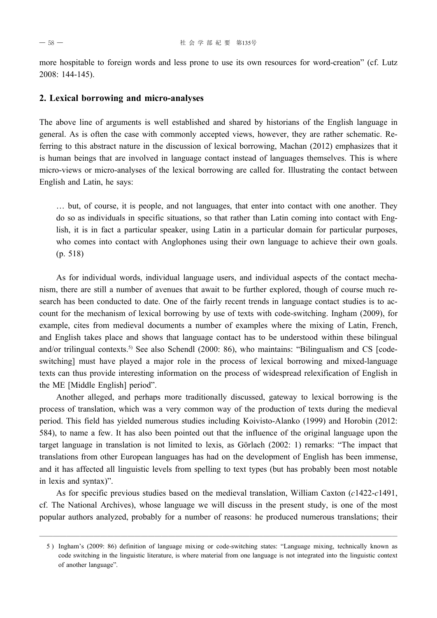more hospitable to foreign words and less prone to use its own resources for word-creation" (cf. Lutz 2008: 144145).

#### **2. Lexical borrowing and micro-analyses**

The above line of arguments is well established and shared by historians of the English language in general. As is often the case with commonly accepted views, however, they are rather schematic. Referring to this abstract nature in the discussion of lexical borrowing, Machan (2012) emphasizes that it is human beings that are involved in language contact instead of languages themselves. This is where micro-views or micro-analyses of the lexical borrowing are called for. Illustrating the contact between English and Latin, he says:

… but, of course, it is people, and not languages, that enter into contact with one another. They do so as individuals in specific situations, so that rather than Latin coming into contact with English, it is in fact a particular speaker, using Latin in a particular domain for particular purposes, who comes into contact with Anglophones using their own language to achieve their own goals. (p. 518)

As for individual words, individual language users, and individual aspects of the contact mechanism, there are still a number of avenues that await to be further explored, though of course much research has been conducted to date. One of the fairly recent trends in language contact studies is to account for the mechanism of lexical borrowing by use of texts with code-switching. Ingham (2009), for example, cites from medieval documents a number of examples where the mixing of Latin, French, and English takes place and shows that language contact has to be understood within these bilingual and/or trilingual contexts.<sup>5)</sup> See also Schendl (2000: 86), who maintains: "Bilingualism and CS [codeswitching] must have played a major role in the process of lexical borrowing and mixed-language texts can thus provide interesting information on the process of widespread relexification of English in the ME [Middle English] period".

Another alleged, and perhaps more traditionally discussed, gateway to lexical borrowing is the process of translation, which was a very common way of the production of texts during the medieval period. This field has yielded numerous studies including Koivisto-Alanko (1999) and Horobin (2012: 584), to name a few. It has also been pointed out that the influence of the original language upon the target language in translation is not limited to lexis, as Görlach (2002: 1) remarks: "The impact that translations from other European languages has had on the development of English has been immense, and it has affected all linguistic levels from spelling to text types (but has probably been most notable in lexis and syntax)".

As for specific previous studies based on the medieval translation, William Caxton (*c*1422*c*1491, cf. The National Archives), whose language we will discuss in the present study, is one of the most popular authors analyzed, probably for a number of reasons: he produced numerous translations; their

<sup>5 )</sup> Ingham's (2009: 86) definition of language mixing or codeswitching states: "Language mixing, technically known as code switching in the linguistic literature, is where material from one language is not integrated into the linguistic context of another language".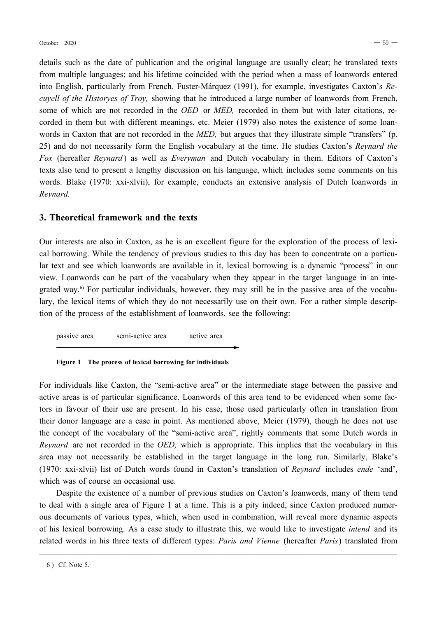details such as the date of publication and the original language are usually clear; he translated texts from multiple languages; and his lifetime coincided with the period when a mass of loanwords entered into English, particularly from French. Fuster-Márquez (1991), for example, investigates Caxton's *Recuyell of the Historyes of Troy,* showing that he introduced a large number of loanwords from French, some of which are not recorded in the *OED* or *MED,* recorded in them but with later citations, recorded in them but with different meanings, etc. Meier (1979) also notes the existence of some loanwords in Caxton that are not recorded in the *MED,* but argues that they illustrate simple "transfers" (p. 25) and do not necessarily form the English vocabulary at the time. He studies Caxton's *Reynard the Fox* (hereafter *Reynard* ) as well as *Everyman* and Dutch vocabulary in them. Editors of Caxton's texts also tend to present a lengthy discussion on his language, which includes some comments on his words. Blake (1970: xxi-xlvii), for example, conducts an extensive analysis of Dutch loanwords in *Reynard.*

## **3. Theoretical framework and the texts**

Our interests are also in Caxton, as he is an excellent figure for the exploration of the process of lexical borrowing. While the tendency of previous studies to this day has been to concentrate on a particular text and see which loanwords are available in it, lexical borrowing is a dynamic "process" in our view. Loanwords can be part of the vocabulary when they appear in the target language in an integrated way.<sup>6)</sup> For particular individuals, however, they may still be in the passive area of the vocabulary, the lexical items of which they do not necessarily use on their own. For a rather simple description of the process of the establishment of loanwords, see the following:

passive area semiactive area active area

#### **Figure 1 The process of lexical borrowing for individuals**

For individuals like Caxton, the "semi-active area" or the intermediate stage between the passive and active areas is of particular significance. Loanwords of this area tend to be evidenced when some factors in favour of their use are present. In his case, those used particularly often in translation from their donor language are a case in point. As mentioned above, Meier (1979), though he does not use the concept of the vocabulary of the "semi-active area", rightly comments that some Dutch words in *Reynard* are not recorded in the *OED,* which is appropriate. This implies that the vocabulary in this area may not necessarily be established in the target language in the long run. Similarly, Blake's (1970: xxi-xlvii) list of Dutch words found in Caxton's translation of *Reynard* includes *ende* 'and', which was of course an occasional use.

Despite the existence of a number of previous studies on Caxton's loanwords, many of them tend to deal with a single area of Figure 1 at a time. This is a pity indeed, since Caxton produced numerous documents of various types, which, when used in combination, will reveal more dynamic aspects of his lexical borrowing. As a case study to illustrate this, we would like to investigate *intend* and its related words in his three texts of different types: *Paris and Vienne* (hereafter *Paris*) translated from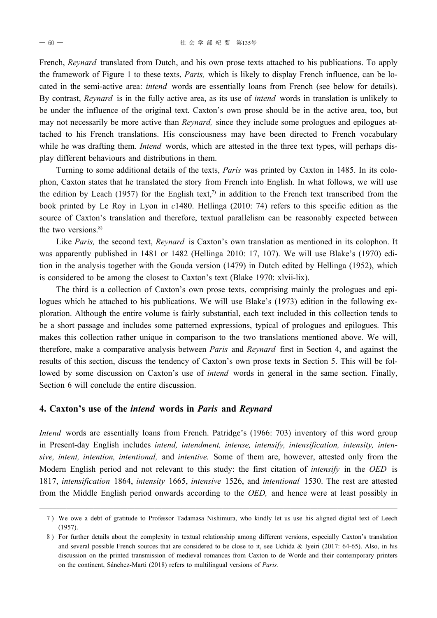French, *Reynard* translated from Dutch, and his own prose texts attached to his publications. To apply the framework of Figure 1 to these texts, *Paris,* which is likely to display French influence, can be located in the semi-active area: *intend* words are essentially loans from French (see below for details). By contrast, *Reynard* is in the fully active area, as its use of *intend* words in translation is unlikely to be under the influence of the original text. Caxton's own prose should be in the active area, too, but may not necessarily be more active than *Reynard,* since they include some prologues and epilogues attached to his French translations. His consciousness may have been directed to French vocabulary while he was drafting them. *Intend* words, which are attested in the three text types, will perhaps display different behaviours and distributions in them.

Turning to some additional details of the texts, *Paris* was printed by Caxton in 1485. In its colophon, Caxton states that he translated the story from French into English. In what follows, we will use the edition by Leach (1957) for the English text,<sup>7</sup> in addition to the French text transcribed from the book printed by Le Roy in Lyon in *c*1480. Hellinga (2010: 74) refers to this specific edition as the source of Caxton's translation and therefore, textual parallelism can be reasonably expected between the two versions. $8$ )

Like *Paris,* the second text, *Reynard* is Caxton's own translation as mentioned in its colophon. It was apparently published in 1481 or 1482 (Hellinga 2010: 17, 107). We will use Blake's (1970) edition in the analysis together with the Gouda version (1479) in Dutch edited by Hellinga (1952), which is considered to be among the closest to Caxton's text (Blake 1970: xlvii-lix).

The third is a collection of Caxton's own prose texts, comprising mainly the prologues and epilogues which he attached to his publications. We will use Blake's (1973) edition in the following exploration. Although the entire volume is fairly substantial, each text included in this collection tends to be a short passage and includes some patterned expressions, typical of prologues and epilogues. This makes this collection rather unique in comparison to the two translations mentioned above. We will, therefore, make a comparative analysis between *Paris* and *Reynard* first in Section 4, and against the results of this section, discuss the tendency of Caxton's own prose texts in Section 5. This will be followed by some discussion on Caxton's use of *intend* words in general in the same section. Finally, Section 6 will conclude the entire discussion.

### **4. Caxton's use of the** *intend* **words in** *Paris* **and** *Reynard*

*Intend* words are essentially loans from French. Patridge's (1966: 703) inventory of this word group in Present-day English includes *intend, intendment, intense, intensify, intensification, intensity, intensive, intent, intention, intentional,* and *intentive.* Some of them are, however, attested only from the Modern English period and not relevant to this study: the first citation of *intensify* in the *OED* is 1817, *intensification* 1864, *intensity* 1665, *intensive* 1526, and *intentional* 1530. The rest are attested from the Middle English period onwards according to the *OED,* and hence were at least possibly in

<sup>─────────────────────────────────────────────────────</sup> 7 ) We owe a debt of gratitude to Professor Tadamasa Nishimura, who kindly let us use his aligned digital text of Leech (1957).

<sup>8 )</sup> For further details about the complexity in textual relationship among different versions, especially Caxton's translation and several possible French sources that are considered to be close to it, see Uchida & Iyeiri (2017: 64-65). Also, in his discussion on the printed transmission of medieval romances from Caxton to de Worde and their contemporary printers on the continent, Sánchez-Marti (2018) refers to multilingual versions of *Paris*.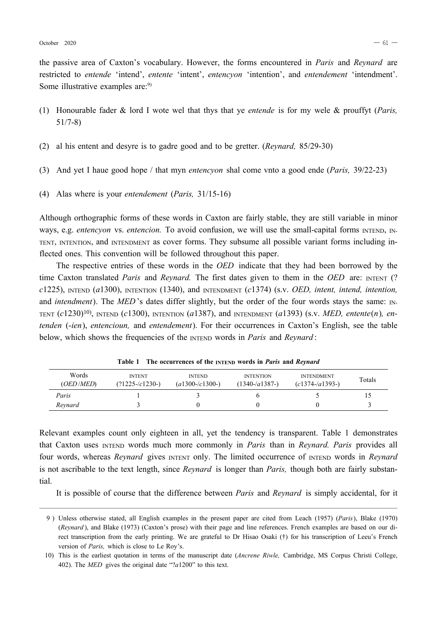the passive area of Caxton's vocabulary. However, the forms encountered in *Paris* and *Reynard* are restricted to *entende* 'intend', *entente* 'intent', *entencyon* 'intention', and *entendement* 'intendment'. Some illustrative examples are:<sup>9)</sup>

- (1) Honourable fader & lord I wote wel that thys that ye *entende* is for my wele & prouffyt (*Paris,*  $51/7-8$
- (2) al his entent and desyre is to gadre good and to be gretter. (*Reynard,* 85/2930)
- (3) And yet I haue good hope / that myn *entencyon* shal come vnto a good ende (*Paris,* 39/2223)
- (4) Alas where is your *entendement* (*Paris,* 31/1516)

Although orthographic forms of these words in Caxton are fairly stable, they are still variable in minor ways, e.g. *entencyon* vs. *entencion*. To avoid confusion, we will use the small-capital forms INTEND, IN-TENT, INTENTION, and INTENDMENT as cover forms. They subsume all possible variant forms including inflected ones. This convention will be followed throughout this paper.

The respective entries of these words in the *OED* indicate that they had been borrowed by the time Caxton translated *Paris* and *Reynard*. The first dates given to them in the *OED* are: INTENT (? *c*1225), INTEND (*a*1300), INTENTION (1340), and INTENDMENT (*c*1374) (s.v. *OED, intent, intend, intention,* and *intendment*). The *MED*'s dates differ slightly, but the order of the four words stays the same: IN-TENT (*c*1230)10), INTEND (*c*1300), INTENTION (*a*1387), and INTENDMENT (*a*1393) (s.v. *MED, entente*(*n*)*, entenden* (*ien*), *entencioun,* and *entendement*). For their occurrences in Caxton's English, see the table below, which shows the frequencies of the INTEND words in *Paris* and *Reynard* :

| Words<br>( <i>OED</i> / <i>MED</i> ) | <b>INTENT</b><br>$(?)1225 - c1230 - )$ | <b>INTEND</b><br>$(a1300 - c1300)$ | <b>INTENTION</b><br>$(1340 - a1387)$ | <b>INTENDMENT</b><br>$(c1374 - a1393)$ | Totals |
|--------------------------------------|----------------------------------------|------------------------------------|--------------------------------------|----------------------------------------|--------|
| Paris                                |                                        |                                    |                                      |                                        |        |
| Revnard                              |                                        |                                    |                                      |                                        |        |

**Table 1 The occurrences of the INTEND words in** *Paris* **and** *Reynard*

Relevant examples count only eighteen in all, yet the tendency is transparent. Table 1 demonstrates that Caxton uses INTEND words much more commonly in *Paris* than in *Reynard. Paris* provides all four words, whereas *Reynard* gives INTENT only. The limited occurrence of INTEND words in *Reynard* is not ascribable to the text length, since *Reynard* is longer than *Paris,* though both are fairly substantial.

It is possible of course that the difference between *Paris* and *Reynard* is simply accidental, for it

<sup>9 )</sup> Unless otherwise stated, all English examples in the present paper are cited from Leach (1957) (*Paris*), Blake (1970) (*Reynard* ), and Blake (1973) (Caxton's prose) with their page and line references. French examples are based on our direct transcription from the early printing. We are grateful to Dr Hisao Osaki (†) for his transcription of Leeu's French version of *Paris,* which is close to Le Roy's.

<sup>10)</sup> This is the earliest quotation in terms of the manuscript date (*Ancrene Riwle,* Cambridge, MS Corpus Christi College, 402). The *MED* gives the original date "?*a*1200" to this text.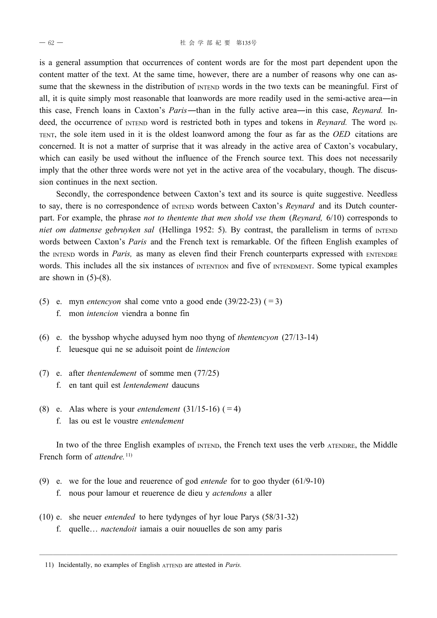is a general assumption that occurrences of content words are for the most part dependent upon the content matter of the text. At the same time, however, there are a number of reasons why one can assume that the skewness in the distribution of INTEND words in the two texts can be meaningful. First of all, it is quite simply most reasonable that loanwords are more readily used in the semi-active area—in this case, French loans in Caxton's *Paris*―than in the fully active area―in this case, *Reynard.* Indeed, the occurrence of INTEND word is restricted both in types and tokens in *Reynard*. The word IN-TENT, the sole item used in it is the oldest loanword among the four as far as the *OED* citations are concerned. It is not a matter of surprise that it was already in the active area of Caxton's vocabulary, which can easily be used without the influence of the French source text. This does not necessarily imply that the other three words were not yet in the active area of the vocabulary, though. The discussion continues in the next section.

Secondly, the correspondence between Caxton's text and its source is quite suggestive. Needless to say, there is no correspondence of INTEND words between Caxton's *Reynard* and its Dutch counterpart. For example, the phrase *not to thentente that men shold vse them* (*Reynard,* 6/10) corresponds to *niet om datmense gebruyken sal* (Hellinga 1952: 5). By contrast, the parallelism in terms of INTEND words between Caxton's *Paris* and the French text is remarkable. Of the fifteen English examples of the INTEND words in *Paris*, as many as eleven find their French counterparts expressed with ENTENDRE words. This includes all the six instances of INTENTION and five of INTENDMENT. Some typical examples are shown in  $(5)-(8)$ .

- (5) e. myn *entencyon* shal come vnto a good ende  $(39/22-23)$  (=3)
	- f. mon *intencion* viendra a bonne fin
- (6) e. the bysshop whyche aduysed hym noo thyng of *thentencyon* (27/1314) f. leuesque qui ne se aduisoit point de *lintencion*
- (7) e. after *thentendement* of somme men (77/25) f. en tant quil est *lentendement* daucuns
- (8) e. Alas where is your *entendement*  $(31/15-16)$  (=4) f. las ou est le voustre *entendement*

In two of the three English examples of INTEND, the French text uses the verb ATENDRE, the Middle French form of *attendre*.<sup>11)</sup>

- (9) e. we for the loue and reuerence of god *entende* for to goo thyder (61/910) f. nous pour lamour et reuerence de dieu y *actendons* a aller
- (10) e. she neuer *entended* to here tydynges of hyr loue Parys (58/31-32) f. quelle… *nactendoit* iamais a ouir nouuelles de son amy paris

<sup>11)</sup> Incidentally, no examples of English ATTEND are attested in *Paris.*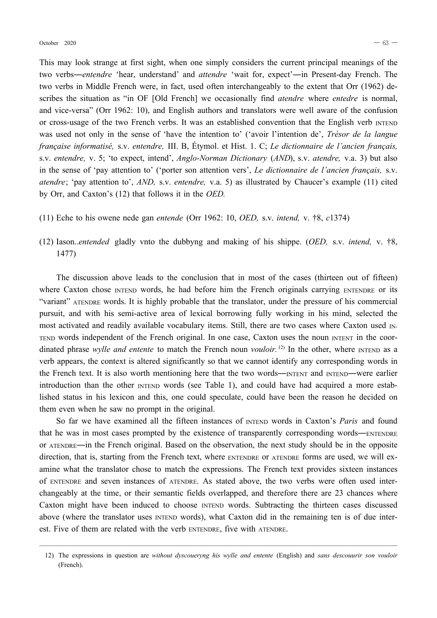This may look strange at first sight, when one simply considers the current principal meanings of the two verbs—*entendre* 'hear, understand' and *attendre* 'wait for, expect'—in Present-day French. The two verbs in Middle French were, in fact, used often interchangeably to the extent that Orr (1962) describes the situation as "in OF [Old French] we occasionally find *atendre* where *entedre* is normal, and vice-versa" (Orr 1962: 10), and English authors and translators were well aware of the confusion or cross-usage of the two French verbs. It was an established convention that the English verb INTEND was used not only in the sense of 'have the intention to' ('avoir l'intention de', *Trésor de la langue française informatisé,* s.v. *entendre,* III. B, Étymol. et Hist. 1. C; *Le dictionnaire de l'ancien français,* s.v. *entendre,* v. 5; 'to expect, intend', *Anglo-Norman Dictionary* (*AND*), s.v. *atendre,* v.a. 3) but also in the sense of 'pay attention to' ('porter son attention vers', *Le dictionnaire de l'ancien français,* s.v. *atendre*; 'pay attention to', *AND,* s.v. *entendre,* v.a. 5) as illustrated by Chaucer's example (11) cited by Orr, and Caxton's (12) that follows it in the *OED.*

- (11) Eche to his owene nede gan *entende* (Orr 1962: 10, *OED,* s.v. *intend,* v. †8, *c*1374)
- (12) Iason..*entended* gladly vnto the dubbyng and making of his shippe. (*OED,* s.v. *intend,* v. †8, 1477)

The discussion above leads to the conclusion that in most of the cases (thirteen out of fifteen) where Caxton chose INTEND words, he had before him the French originals carrying ENTENDRE or its "variant" ATENDRE words. It is highly probable that the translator, under the pressure of his commercial pursuit, and with his semiactive area of lexical borrowing fully working in his mind, selected the most activated and readily available vocabulary items. Still, there are two cases where Caxton used IN-TEND words independent of the French original. In one case, Caxton uses the noun INTENT in the coordinated phrase *wylle and entente* to match the French noun *vouloir*.<sup>12</sup> In the other, where INTEND as a verb appears, the context is altered significantly so that we cannot identify any corresponding words in the French text. It is also worth mentioning here that the two words—INTENT and INTEND—were earlier introduction than the other INTEND words (see Table 1), and could have had acquired a more established status in his lexicon and this, one could speculate, could have been the reason he decided on them even when he saw no prompt in the original.

So far we have examined all the fifteen instances of INTEND words in Caxton's Paris and found that he was in most cases prompted by the existence of transparently corresponding words―ENTENDRE or ATENDRE―in the French original. Based on the observation, the next study should be in the opposite direction, that is, starting from the French text, where ENTENDRE or ATENDRE forms are used, we will examine what the translator chose to match the expressions. The French text provides sixteen instances of ENTENDRE and seven instances of ATENDRE. As stated above, the two verbs were often used interchangeably at the time, or their semantic fields overlapped, and therefore there are 23 chances where Caxton might have been induced to choose INTEND words. Subtracting the thirteen cases discussed above (where the translator uses INTEND words), what Caxton did in the remaining ten is of due interest. Five of them are related with the verb ENTENDRE, five with ATENDRE.

<sup>─────────────────────────────────────────────────────</sup> 12) The expressions in question are *without dyscoueryng his wylle and entente* (English) and *sans descouurir son vouloir* (French).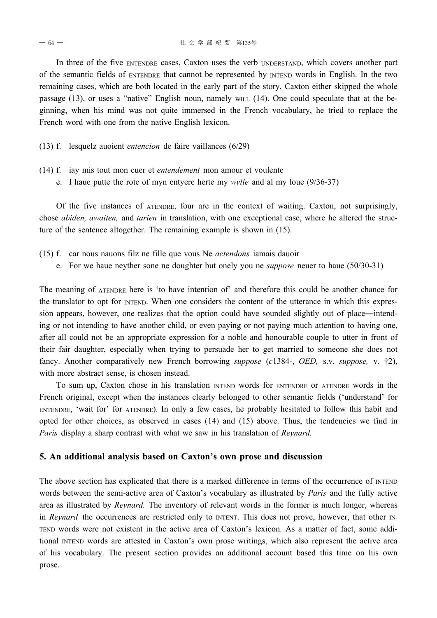In three of the five ENTENDRE cases, Caxton uses the verb UNDERSTAND, which covers another part of the semantic fields of ENTENDRE that cannot be represented by INTEND words in English. In the two remaining cases, which are both located in the early part of the story, Caxton either skipped the whole passage (13), or uses a "native" English noun, namely WILL (14). One could speculate that at the beginning, when his mind was not quite immersed in the French vocabulary, he tried to replace the French word with one from the native English lexicon.

(13) f. lesquelz auoient *entencion* de faire vaillances (6/29)

- (14) f. iay mis tout mon cuer et *entendement* mon amour et voulente
	- e. I haue putte the rote of myn entyere herte my *wylle* and al my loue (9/36-37)

Of the five instances of ATENDRE, four are in the context of waiting. Caxton, not surprisingly, chose *abiden, awaiten,* and *tarien* in translation, with one exceptional case, where he altered the structure of the sentence altogether. The remaining example is shown in (15).

- (15) f. car nous nauons filz ne fille que vous Ne *actendons* iamais dauoir
	- e. For we haue neyther sone ne doughter but onely you ne *suppose* neuer to haue (50/3031)

The meaning of ATENDRE here is 'to have intention of' and therefore this could be another chance for the translator to opt for INTEND. When one considers the content of the utterance in which this expression appears, however, one realizes that the option could have sounded slightly out of place—intending or not intending to have another child, or even paying or not paying much attention to having one, after all could not be an appropriate expression for a noble and honourable couple to utter in front of their fair daughter, especially when trying to persuade her to get married to someone she does not fancy. Another comparatively new French borrowing *suppose* (*c*1384, *OED,* s.v. *suppose,* v. †2), with more abstract sense, is chosen instead.

To sum up, Caxton chose in his translation INTEND words for ENTENDRE or ATENDRE words in the French original, except when the instances clearly belonged to other semantic fields ('understand' for ENTENDRE, 'wait for' for ATENDRE). In only a few cases, he probably hesitated to follow this habit and opted for other choices, as observed in cases (14) and (15) above. Thus, the tendencies we find in *Paris* display a sharp contrast with what we saw in his translation of *Reynard.*

#### **5. An additional analysis based on Caxton's own prose and discussion**

The above section has explicated that there is a marked difference in terms of the occurrence of INTEND words between the semi-active area of Caxton's vocabulary as illustrated by *Paris* and the fully active area as illustrated by *Reynard.* The inventory of relevant words in the former is much longer, whereas in *Reynard* the occurrences are restricted only to *INTENT*. This does not prove, however, that other IN-TEND words were not existent in the active area of Caxton's lexicon. As a matter of fact, some additional INTEND words are attested in Caxton's own prose writings, which also represent the active area of his vocabulary. The present section provides an additional account based this time on his own prose.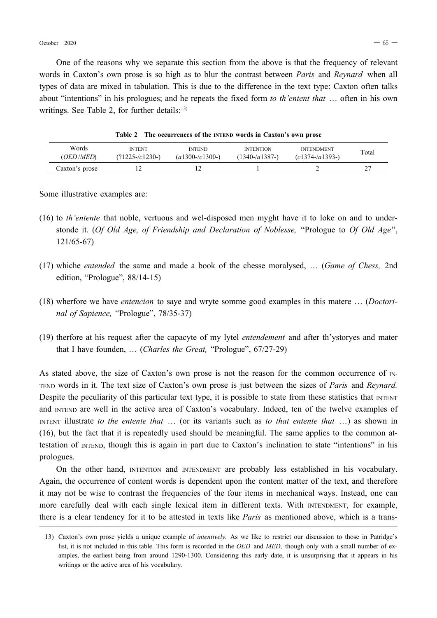One of the reasons why we separate this section from the above is that the frequency of relevant words in Caxton's own prose is so high as to blur the contrast between *Paris* and *Reynard* when all types of data are mixed in tabulation. This is due to the difference in the text type: Caxton often talks about "intentions" in his prologues; and he repeats the fixed form *to th'entent that* … often in his own writings. See Table 2, for further details: $13$ )

**Table 2 The occurrences of the INTEND words in Caxton's own prose**

| Words          | <b>INTENT</b>     | <b>INTEND</b>       | <b>INTENTION</b> | <b>INTENDMENT</b> | Total  |
|----------------|-------------------|---------------------|------------------|-------------------|--------|
| (OED   MED)    | $(21225 - c1230)$ | $(a1300 - c1300 -)$ | $(1340 - a1387)$ | $(c1374 - a1393)$ |        |
| Caxton's prose |                   |                     |                  |                   | $\sim$ |

Some illustrative examples are:

- (16) to *th'entente* that noble, vertuous and wel-disposed men myght have it to loke on and to understonde it. (*Of Old Age, of Friendship and Declaration of Noblesse,* "Prologue to *Of Old Age*", 121/65-67)
- (17) whiche *entended* the same and made a book of the chesse moralysed, … (*Game of Chess,* 2nd edition, "Prologue", 88/14-15)
- (18) wherfore we have *entencion* to saye and wryte somme good examples in this matere … (*Doctorinal of Sapience,* "Prologue", 78/35-37)
- (19) therfore at his request after the capacyte of my lytel *entendement* and after th'ystoryes and mater that I have founden, … (*Charles the Great,* "Prologue", 67/2729)

As stated above, the size of Caxton's own prose is not the reason for the common occurrence of  $N$ -TEND words in it. The text size of Caxton's own prose is just between the sizes of *Paris* and *Reynard.* Despite the peculiarity of this particular text type, it is possible to state from these statistics that INTENT and INTEND are well in the active area of Caxton's vocabulary. Indeed, ten of the twelve examples of INTENT illustrate *to the entente that* … (or its variants such as *to that entente that* …) as shown in (16), but the fact that it is repeatedly used should be meaningful. The same applies to the common attestation of INTEND, though this is again in part due to Caxton's inclination to state "intentions" in his prologues.

On the other hand, INTENTION and INTENDMENT are probably less established in his vocabulary. Again, the occurrence of content words is dependent upon the content matter of the text, and therefore it may not be wise to contrast the frequencies of the four items in mechanical ways. Instead, one can more carefully deal with each single lexical item in different texts. With INTENDMENT, for example, there is a clear tendency for it to be attested in texts like *Paris* as mentioned above, which is a trans

<sup>13)</sup> Caxton's own prose yields a unique example of *intentively.* As we like to restrict our discussion to those in Patridge's list, it is not included in this table. This form is recorded in the *OED* and *MED,* though only with a small number of examples, the earliest being from around 1290-1300. Considering this early date, it is unsurprising that it appears in his writings or the active area of his vocabulary.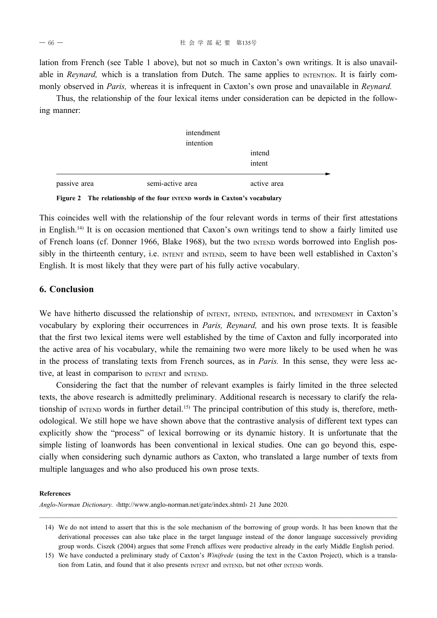lation from French (see Table 1 above), but not so much in Caxton's own writings. It is also unavailable in *Reynard*, which is a translation from Dutch. The same applies to **INTENTION**. It is fairly commonly observed in *Paris,* whereas it is infrequent in Caxton's own prose and unavailable in *Reynard.*

Thus, the relationship of the four lexical items under consideration can be depicted in the following manner:

|              | intendment<br>intention |                  |
|--------------|-------------------------|------------------|
|              |                         | intend<br>intent |
| passive area | semi-active area        | active area      |

**Figure 2 The relationship of the four INTEND words in Caxton's vocabulary**

This coincides well with the relationship of the four relevant words in terms of their first attestations in English.14) It is on occasion mentioned that Caxon's own writings tend to show a fairly limited use of French loans (cf. Donner 1966, Blake 1968), but the two INTEND words borrowed into English possibly in the thirteenth century, i.e. INTENT and INTEND, seem to have been well established in Caxton's English. It is most likely that they were part of his fully active vocabulary.

## **6. Conclusion**

We have hitherto discussed the relationship of INTENT, INTEND, INTENTION, and INTENDMENT in Caxton's vocabulary by exploring their occurrences in *Paris, Reynard,* and his own prose texts. It is feasible that the first two lexical items were well established by the time of Caxton and fully incorporated into the active area of his vocabulary, while the remaining two were more likely to be used when he was in the process of translating texts from French sources, as in *Paris.* In this sense, they were less active, at least in comparison to INTENT and INTEND.

Considering the fact that the number of relevant examples is fairly limited in the three selected texts, the above research is admittedly preliminary. Additional research is necessary to clarify the relationship of INTEND words in further detail.<sup>15)</sup> The principal contribution of this study is, therefore, methodological. We still hope we have shown above that the contrastive analysis of different text types can explicitly show the "process" of lexical borrowing or its dynamic history. It is unfortunate that the simple listing of loanwords has been conventional in lexical studies. One can go beyond this, especially when considering such dynamic authors as Caxton, who translated a large number of texts from multiple languages and who also produced his own prose texts.

#### **References**

*Anglo-Norman Dictionary.* ‹http://www.anglonorman.net/gate/index.shtml› 21 June 2020.

<sup>14)</sup> We do not intend to assert that this is the sole mechanism of the borrowing of group words. It has been known that the derivational processes can also take place in the target language instead of the donor language successively providing group words. Ciszek (2004) argues that some French affixes were productive already in the early Middle English period.

<sup>15)</sup> We have conducted a preliminary study of Caxton's *Winifrede* (using the text in the Caxton Project), which is a translation from Latin, and found that it also presents INTENT and INTEND, but not other INTEND words.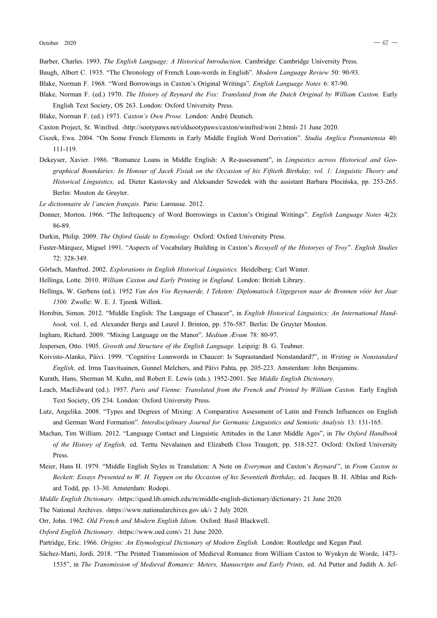- Barber, Charles. 1993. *The English Language: A Historical Introduction.* Cambridge: Cambridge University Press.
- Baugh, Albert C. 1935. "The Chronology of French Loan-words in English". *Modern Language Review* 50: 90-93.
- Blake, Norman F. 1968. "Word Borrowings in Caxton's Original Writings". *English Language Notes* 6: 8790.
- Blake, Norman F. (ed.) 1970. *The History of Reynard the Fox: Translated from the Dutch Original by William Caxton.* Early English Text Society, OS 263. London: Oxford University Press.
- Blake, Norman F. (ed.) 1973. *Caxton's Own Prose.* London: André Deutsch.
- Caxton Project, St. Winifred. ‹http://sootypaws.net/oldsootypaws/caxton/winifred/wini 2.html› 21 June 2020.
- Ciszek, Ewa. 2004. "On Some French Elements in Early Middle English Word Derivation". *Studia Anglica Posnaniensia* 40: 111119.
- Dekeyser, Xavier. 1986. "Romance Loans in Middle English: A Re-assessment", in *Linguistics across Historical and Geographical Boundaries: In Honour of Jacek Fisiak on the Occasion of his Fiftieth Birthday, vol. 1: Linguistic Theory and Historical Linguistics, ed. Dieter Kastovsky and Aleksander Szwedek with the assistant Barbara Płocińska, pp. 253-265.* Berlin: Mouton de Gruyter.
- *Le dictionnaire de l'ancien français.* Paris: Larousse. 2012.
- Donner, Morton. 1966. "The Infrequency of Word Borrowings in Caxton's Original Writings". *English Language Notes* 4(2): 86-89
- Durkin, Philip. 2009. *The Oxford Guide to Etymology.* Oxford: Oxford University Press.
- FusterMárquez, Miguel 1991. "Aspects of Vocabulary Building in Caxton's *Recuyell of the Historyes of Troy*". *English Studies* 72: 328349.
- Görlach, Manfred. 2002. *Explorations in English Historical Linguistics.* Heidelberg: Carl Winter.
- Hellinga, Lotte. 2010. *William Caxton and Early Printing in England.* London: British Library.
- Hellinga, W. Gerbens (ed.). 1952 *Van den Vos Reynaerde, I Teksten: Diplomatisch Uitgegeven naar de Bronnen vóór het Jaar 1500.* Zwolle: W. E. J. Tjeenk Willink.
- Horobin, Simon. 2012. "Middle English: The Language of Chaucer", in *English Historical Linguistics: An International Handbook,* vol. 1, ed. Alexander Bergs and Laurel J. Brinton, pp. 576587. Berlin: De Gruyter Mouton.
- Ingham, Richard. 2009. "Mixing Language on the Manor". *Medium Ævum 78*: 80-97.
- Jespersen, Otto. 1905. *Growth and Structure of the English Language.* Leipzig: B. G. Teubner.
- Koivisto-Alanko, Päivi. 1999. "Cognitive Loanwords in Chaucer: Is Suprastandard Nonstandard?", in Writing in Nonstandard *English,* ed. Irma Taavitsainen, Gunnel Melchers, and Päivi Pahta, pp. 205223. Amsterdam: John Benjamins.

Kurath, Hans, Sherman M. Kuhn, and Robert E. Lewis (eds.). 1952-2001. See *Middle English Dictionary*.

- Leach, MacEdward (ed.). 1957. *Paris and Vienne: Translated from the French and Printed by William Caxton.* Early English Text Society, OS 234. London: Oxford University Press.
- Lutz, Angelika. 2008. "Types and Degrees of Mixing: A Comparative Assessment of Latin and French Influences on English and German Word Formation". *Interdisciplinary Journal for Germanic Linguistics and Semiotic Analysis* 13: 131-165.
- Machan, Tim William. 2012. "Language Contact and Linguistic Attitudes in the Later Middle Ages", in *The Oxford Handbook of the History of English,* ed. Terttu Nevalainen and Elizabeth Closs Traugott, pp. 518527. Oxford: Oxford University Press.
- Meier, Hans H. 1979. "Middle English Styles in Translation: A Note on *Everyman* and Caxton's *Reynard* ", in *From Caxton to Beckett: Essays Presented to W. H. Toppen on the Occasion of his Seventieth Birthday,* ed. Jacques B. H. Alblas and Richard Todd, pp. 13-30. Amsterdam: Rodopi.
- *Middle English Dictionary.* «https://quod.lib.umich.edu/m/middle-english-dictionary/dictionary› 21 June 2020.
- The National Archives. ‹https://www.nationalarchives.gov.uk/› 2 July 2020.
- Orr, John. 1962. *Old French and Modern English Idiom.* Oxford: Basil Blackwell.
- *Oxford English Dictionary.* ‹https://www.oed.com/› 21 June 2020.
- Partridge, Eric. 1966. *Origins: An Etymological Dictionary of Modern English.* London: Routledge and Kegan Paul.

Sáchez-Marti, Jordi. 2018. "The Printed Transmission of Medieval Romance from William Caxton to Wynkyn de Worde, 1473-

1535", in *The Transmission of Medieval Romance: Meters, Manuscripts and Early Prints,* ed. Ad Putter and Judith A. Jef-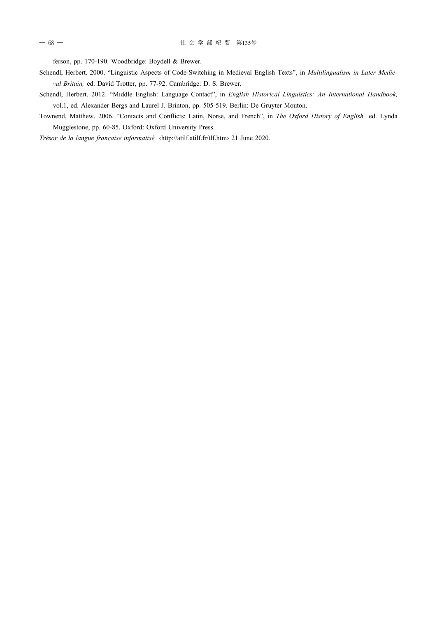ferson, pp. 170-190. Woodbridge: Boydell & Brewer.

- Schendl, Herbert. 2000. "Linguistic Aspects of Code-Switching in Medieval English Texts", in *Multilingualism in Later Medie*val Britain, ed. David Trotter, pp. 77-92. Cambridge: D. S. Brewer.
- Schendl, Herbert. 2012. "Middle English: Language Contact", in *English Historical Linguistics: An International Handbook,* vol.1, ed. Alexander Bergs and Laurel J. Brinton, pp. 505-519. Berlin: De Gruyter Mouton.
- Townend, Matthew. 2006. "Contacts and Conflicts: Latin, Norse, and French", in *The Oxford History of English,* ed. Lynda Mugglestone, pp. 60-85. Oxford: Oxford University Press.

*Trésor de la langue française informatisé.* ‹http://atilf.atilf.fr/tlf.htm› 21 June 2020.